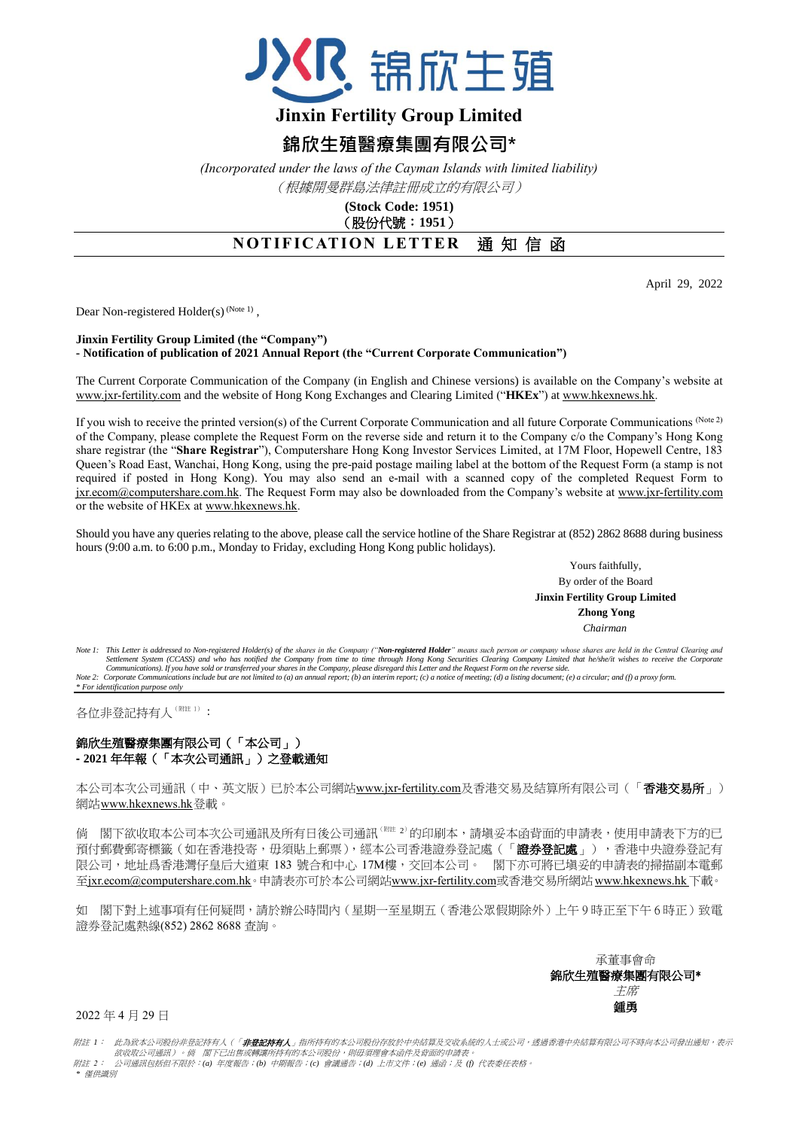

# **Jinxin Fertility Group Limited**

# **錦欣生殖醫療集團有限公司\***

*(Incorporated under the laws of the Cayman Islands with limited liability)* (根據開曼群島法律註冊成立的有限公司)

#### **(Stock Code: 1951)** (股份代號:**1951**)

## **NOTIFICATION LETTER** 通知信函

April 29, 2022

Dear Non-registered Holder(s)  $(N^{1/10})$ ,

#### **Jinxin Fertility Group Limited (the "Company") - Notification of publication of 2021 Annual Report (the "Current Corporate Communication")**

The Current Corporate Communication of the Company (in English and Chinese versions) is available on the Company's website at [www.jxr-fertility.com](http://www.jxr-fertility.com/) and the website of Hong Kong Exchanges and Clearing Limited ("**HKEx**") a[t www.hkexnews.hk.](http://www.hkexnews.hk/)

If you wish to receive the printed version(s) of the Current Corporate Communication and all future Corporate Communications (Note 2) of the Company, please complete the Request Form on the reverse side and return it to the Company c/o the Company's Hong Kong share registrar (the "**Share Registrar**"), Computershare Hong Kong Investor Services Limited, at 17M Floor, Hopewell Centre, 183 Queen's Road East, Wanchai, Hong Kong, using the pre-paid postage mailing label at the bottom of the Request Form (a stamp is not required if posted in Hong Kong). You may also send an e-mail with a scanned copy of the completed Request Form to jxr.ecom@computershare.com.hk. The Request Form may also be downloaded from the Company's website at www.jxr-fertility.com or the website of HKEx at [www.hkexnews.hk.](http://www.hkexnews.hk/)

Should you have any queries relating to the above, please call the service hotline of the Share Registrar at (852) 2862 8688 during business hours (9:00 a.m. to 6:00 p.m., Monday to Friday, excluding Hong Kong public holidays).

> Yours faithfully, By order of the Board **Jinxin Fertility Group Limited Zhong Yong** *Chairman*

Note 1: This Letter is addressed to Non-registered Holder(s) of the shares in the Company ("Non-registered Holder" means such person or company whose shares are held in the Central Clearing and<br>Settlement System (CCASS) an Communications). If you have sold or transferred your shares in the Company, please disregard this Letter and the Request Form on the reverse side.<br>Note 2: Corporate Communications include but are not limited to (a) an ann *\* For identification purpose only*

各位非登記持有人(附註1):

### 錦欣生殖醫療集團有限公司(「本公司」) **- 2021** 年年報(「本次公司通訊」)之登載通知

本公司本次公司通訊(中、英文版)已於本公司網站[www.jxr-fertility.com](http://www.jxr-fertility.com/)及香港交易及結算所有限公司(「香港交易所」) 網站[www.hkexnews.hk](http://www.hkexnews.hk/)登載。

倘 閣下欲收取本公司本次公司通訊及所有日後公司通訊<sup>(附註 2)</sup>的印刷本,請塡妥本函背面的申請表,使用申請表下方的已 預付郵費郵寄標籤(如在香港投寄,毋須貼上郵票),經本公司香港證券登記處(「證券登記處」),香港中央證券登記有 限公司,地址爲香港灣仔皇后大道東 183 號合和中心 17M樓,交回本公司。 閣下亦可將已塡妥的申請表的掃描副本電郵 至jxr.ecom@computershare.com.hk。申請表亦可於本公司網站www.jxr-fertility.com或香港交易所網站[www.hkexnews.hk](http://www.hkexnews.hk/) 下載。

如 閣下對上述事項有任何疑問,請於辦公時間內(星期一至星期五(香港公眾假期除外)上午9時正至下午6時正)致電 證券登記處熱線(852) 2862 8688 查詢。

> 承董事會命 錦欣生殖醫療集團有限公司\* 主席 鍾勇

2022 年 4 月 29 日

附註 *1*: 此為致本公司股份非登記持有人(「非登記持有人」指所持有的本公司股份存放於中央結算及交收系統的人士或公司,透過香港中央結算有限公司不時向本公司發出通知,表示 欲收取公司通訊)。倘 閣下已出售或轉讓所持有的本公司股份,則毋須理會本函件及背面的申請表。 附註 *2*: 公司通訊包括但不限於:*(a)* 年度報告;*(b)* 中期報告;*(c)* 會議通告;*(d)* 上市文件;*(e)* 通函;及 *(f)* 代表委任表格。